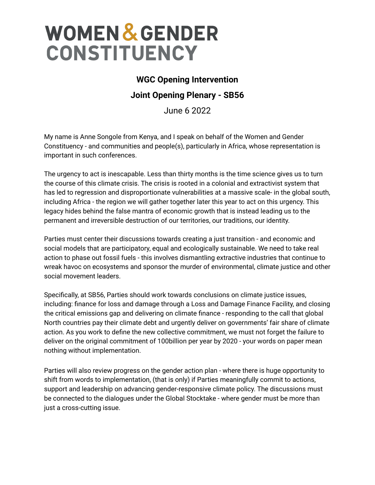## **WOMEN & GENDER CONSTITUENCY**

## **WGC Opening Intervention**

## **Joint Opening Plenary - SB56**

June 6 2022

My name is Anne Songole from Kenya, and I speak on behalf of the Women and Gender Constituency - and communities and people(s), particularly in Africa, whose representation is important in such conferences.

The urgency to act is inescapable. Less than thirty months is the time science gives us to turn the course of this climate crisis. The crisis is rooted in a colonial and extractivist system that has led to regression and disproportionate vulnerabilities at a massive scale- in the global south, including Africa - the region we will gather together later this year to act on this urgency. This legacy hides behind the false mantra of economic growth that is instead leading us to the permanent and irreversible destruction of our territories, our traditions, our identity.

Parties must center their discussions towards creating a just transition - and economic and social models that are participatory, equal and ecologically sustainable. We need to take real action to phase out fossil fuels - this involves dismantling extractive industries that continue to wreak havoc on ecosystems and sponsor the murder of environmental, climate justice and other social movement leaders.

Specifically, at SB56, Parties should work towards conclusions on climate justice issues, including: finance for loss and damage through a Loss and Damage Finance Facility, and closing the critical emissions gap and delivering on climate finance - responding to the call that global North countries pay their climate debt and urgently deliver on governments' fair share of climate action. As you work to define the new collective commitment, we must not forget the failure to deliver on the original commitment of 100billion per year by 2020 - your words on paper mean nothing without implementation.

Parties will also review progress on the gender action plan - where there is huge opportunity to shift from words to implementation, (that is only) if Parties meaningfully commit to actions, support and leadership on advancing gender-responsive climate policy. The discussions must be connected to the dialogues under the Global Stocktake - where gender must be more than just a cross-cutting issue.